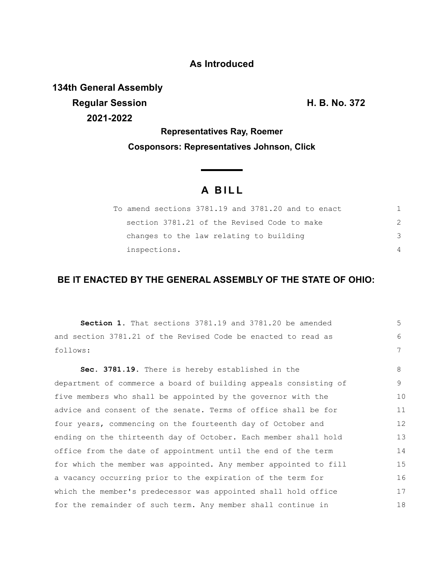### **As Introduced**

**134th General Assembly Regular Session H. B. No. 372 2021-2022**

**Representatives Ray, Roemer Cosponsors: Representatives Johnson, Click**

# **A B I L L**

| To amend sections 3781.19 and 3781.20 and to enact |          |
|----------------------------------------------------|----------|
| section 3781.21 of the Revised Code to make        |          |
| changes to the law relating to building            | 3        |
| inspections.                                       | $\Delta$ |

## **BE IT ENACTED BY THE GENERAL ASSEMBLY OF THE STATE OF OHIO:**

| Section 1. That sections 3781.19 and 3781.20 be amended          | 5  |
|------------------------------------------------------------------|----|
| and section 3781.21 of the Revised Code be enacted to read as    | 6  |
| follows:                                                         | 7  |
| Sec. 3781.19. There is hereby established in the                 | 8  |
| department of commerce a board of building appeals consisting of | 9  |
| five members who shall be appointed by the governor with the     | 10 |
| advice and consent of the senate. Terms of office shall be for   | 11 |
| four years, commencing on the fourteenth day of October and      | 12 |
| ending on the thirteenth day of October. Each member shall hold  | 13 |
| office from the date of appointment until the end of the term    | 14 |
| for which the member was appointed. Any member appointed to fill | 15 |
| a vacancy occurring prior to the expiration of the term for      | 16 |
| which the member's predecessor was appointed shall hold office   | 17 |
| for the remainder of such term. Any member shall continue in     | 18 |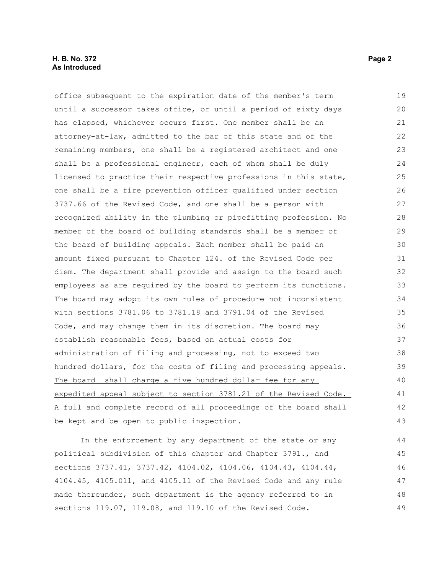#### **H. B. No. 372** Page 2 **As Introduced**

office subsequent to the expiration date of the member's term until a successor takes office, or until a period of sixty days has elapsed, whichever occurs first. One member shall be an attorney-at-law, admitted to the bar of this state and of the remaining members, one shall be a registered architect and one shall be a professional engineer, each of whom shall be duly licensed to practice their respective professions in this state, one shall be a fire prevention officer qualified under section 3737.66 of the Revised Code, and one shall be a person with recognized ability in the plumbing or pipefitting profession. No member of the board of building standards shall be a member of the board of building appeals. Each member shall be paid an amount fixed pursuant to Chapter 124. of the Revised Code per diem. The department shall provide and assign to the board such employees as are required by the board to perform its functions. The board may adopt its own rules of procedure not inconsistent with sections 3781.06 to 3781.18 and 3791.04 of the Revised Code, and may change them in its discretion. The board may establish reasonable fees, based on actual costs for administration of filing and processing, not to exceed two hundred dollars, for the costs of filing and processing appeals. The board shall charge a five hundred dollar fee for any expedited appeal subject to section 3781.21 of the Revised Code. A full and complete record of all proceedings of the board shall be kept and be open to public inspection. 19 20 21 22 23 24 25 26 27 28 29 30 31 32 33 34 35 36 37 38 39 40 41 42 43

In the enforcement by any department of the state or any political subdivision of this chapter and Chapter 3791., and sections 3737.41, 3737.42, 4104.02, 4104.06, 4104.43, 4104.44, 4104.45, 4105.011, and 4105.11 of the Revised Code and any rule made thereunder, such department is the agency referred to in sections 119.07, 119.08, and 119.10 of the Revised Code. 44 45 46 47 48 49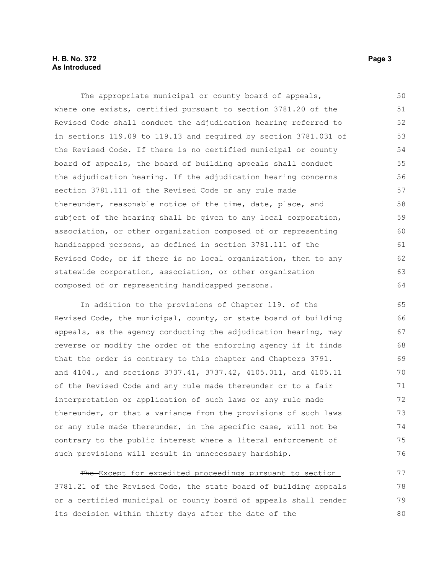#### **H. B. No. 372** Page 3 **As Introduced**

The appropriate municipal or county board of appeals, where one exists, certified pursuant to section 3781.20 of the Revised Code shall conduct the adjudication hearing referred to in sections 119.09 to 119.13 and required by section 3781.031 of the Revised Code. If there is no certified municipal or county board of appeals, the board of building appeals shall conduct the adjudication hearing. If the adjudication hearing concerns section 3781.111 of the Revised Code or any rule made thereunder, reasonable notice of the time, date, place, and subject of the hearing shall be given to any local corporation, association, or other organization composed of or representing handicapped persons, as defined in section 3781.111 of the Revised Code, or if there is no local organization, then to any statewide corporation, association, or other organization composed of or representing handicapped persons. 50 51 52 53 54 55 56 57 58 59 60 61 62 63 64

In addition to the provisions of Chapter 119. of the Revised Code, the municipal, county, or state board of building appeals, as the agency conducting the adjudication hearing, may reverse or modify the order of the enforcing agency if it finds that the order is contrary to this chapter and Chapters 3791. and 4104., and sections 3737.41, 3737.42, 4105.011, and 4105.11 of the Revised Code and any rule made thereunder or to a fair interpretation or application of such laws or any rule made thereunder, or that a variance from the provisions of such laws or any rule made thereunder, in the specific case, will not be contrary to the public interest where a literal enforcement of such provisions will result in unnecessary hardship.

The Except for expedited proceedings pursuant to section 3781.21 of the Revised Code, the state board of building appeals or a certified municipal or county board of appeals shall render its decision within thirty days after the date of the 77 78 79 80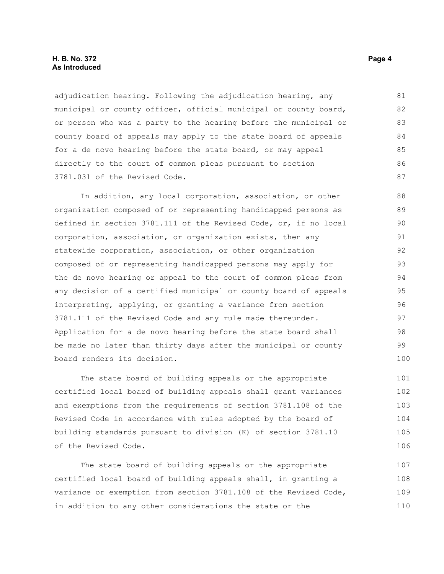#### **H. B. No. 372** Page 4 **As Introduced**

adjudication hearing. Following the adjudication hearing, any municipal or county officer, official municipal or county board, or person who was a party to the hearing before the municipal or county board of appeals may apply to the state board of appeals for a de novo hearing before the state board, or may appeal directly to the court of common pleas pursuant to section 3781.031 of the Revised Code. 81 82 83 84 85 86 87

In addition, any local corporation, association, or other organization composed of or representing handicapped persons as defined in section 3781.111 of the Revised Code, or, if no local corporation, association, or organization exists, then any statewide corporation, association, or other organization composed of or representing handicapped persons may apply for the de novo hearing or appeal to the court of common pleas from any decision of a certified municipal or county board of appeals interpreting, applying, or granting a variance from section 3781.111 of the Revised Code and any rule made thereunder. Application for a de novo hearing before the state board shall be made no later than thirty days after the municipal or county board renders its decision. 88 89 90 91 92 93 94 95 96 97 98 99 100

The state board of building appeals or the appropriate certified local board of building appeals shall grant variances and exemptions from the requirements of section 3781.108 of the Revised Code in accordance with rules adopted by the board of building standards pursuant to division (K) of section 3781.10 of the Revised Code.

The state board of building appeals or the appropriate certified local board of building appeals shall, in granting a variance or exemption from section 3781.108 of the Revised Code, in addition to any other considerations the state or the 107 108 109 110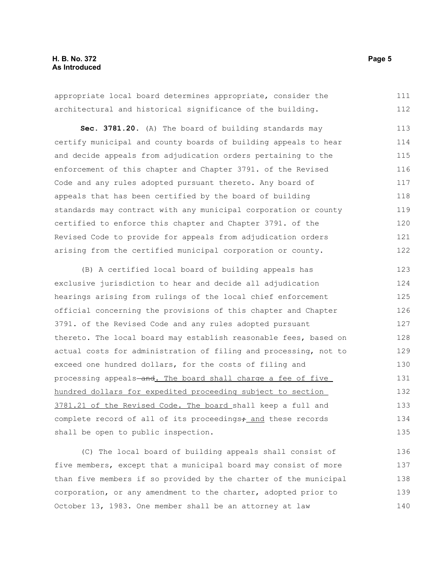#### **H. B. No. 372** Page 5 **As Introduced**

appropriate local board determines appropriate, consider the architectural and historical significance of the building. 111 112

**Sec. 3781.20.** (A) The board of building standards may certify municipal and county boards of building appeals to hear and decide appeals from adjudication orders pertaining to the enforcement of this chapter and Chapter 3791. of the Revised Code and any rules adopted pursuant thereto. Any board of appeals that has been certified by the board of building standards may contract with any municipal corporation or county certified to enforce this chapter and Chapter 3791. of the Revised Code to provide for appeals from adjudication orders arising from the certified municipal corporation or county. 113 114 115 116 117 118 119 120 121 122

(B) A certified local board of building appeals has exclusive jurisdiction to hear and decide all adjudication hearings arising from rulings of the local chief enforcement official concerning the provisions of this chapter and Chapter 3791. of the Revised Code and any rules adopted pursuant thereto. The local board may establish reasonable fees, based on actual costs for administration of filing and processing, not to exceed one hundred dollars, for the costs of filing and processing appeals-and. The board shall charge a fee of five hundred dollars for expedited proceeding subject to section 3781.21 of the Revised Code. The board shall keep a full and complete record of all of its proceedings, and these records shall be open to public inspection. 123 124 125 126 127 128 129 130 131 132 133 134 135

(C) The local board of building appeals shall consist of five members, except that a municipal board may consist of more than five members if so provided by the charter of the municipal corporation, or any amendment to the charter, adopted prior to October 13, 1983. One member shall be an attorney at law 136 137 138 139 140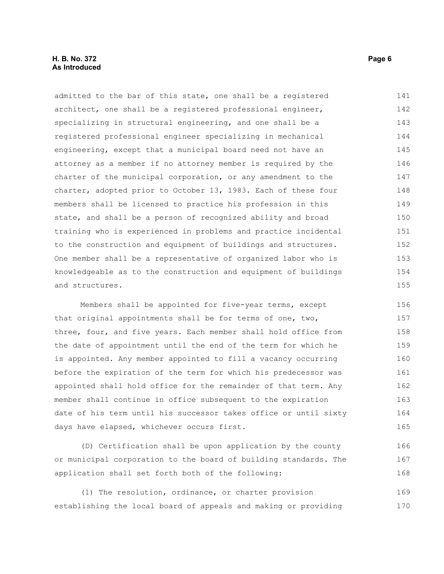#### **H. B. No. 372** Page 6 **As Introduced**

admitted to the bar of this state, one shall be a registered architect, one shall be a registered professional engineer, specializing in structural engineering, and one shall be a registered professional engineer specializing in mechanical engineering, except that a municipal board need not have an attorney as a member if no attorney member is required by the charter of the municipal corporation, or any amendment to the charter, adopted prior to October 13, 1983. Each of these four members shall be licensed to practice his profession in this state, and shall be a person of recognized ability and broad training who is experienced in problems and practice incidental to the construction and equipment of buildings and structures. One member shall be a representative of organized labor who is knowledgeable as to the construction and equipment of buildings and structures. 141 142 143 144 145 146 147 148 149 150 151 152 153 154 155

Members shall be appointed for five-year terms, except that original appointments shall be for terms of one, two, three, four, and five years. Each member shall hold office from the date of appointment until the end of the term for which he is appointed. Any member appointed to fill a vacancy occurring before the expiration of the term for which his predecessor was appointed shall hold office for the remainder of that term. Any member shall continue in office subsequent to the expiration date of his term until his successor takes office or until sixty days have elapsed, whichever occurs first. 156 157 158 159 160 161 162 163 164 165

(D) Certification shall be upon application by the county or municipal corporation to the board of building standards. The application shall set forth both of the following:

(1) The resolution, ordinance, or charter provision establishing the local board of appeals and making or providing 169 170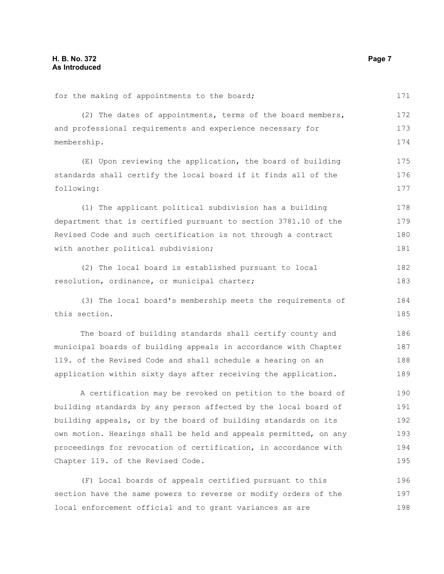| for the making of appointments to the board;                     | 171 |
|------------------------------------------------------------------|-----|
| (2) The dates of appointments, terms of the board members,       | 172 |
| and professional requirements and experience necessary for       | 173 |
| membership.                                                      |     |
| (E) Upon reviewing the application, the board of building        | 175 |
| standards shall certify the local board if it finds all of the   | 176 |
| following:                                                       | 177 |
| (1) The applicant political subdivision has a building           | 178 |
| department that is certified pursuant to section 3781.10 of the  | 179 |
| Revised Code and such certification is not through a contract    |     |
| with another political subdivision;                              | 181 |
| (2) The local board is established pursuant to local             | 182 |
| resolution, ordinance, or municipal charter;                     |     |
| (3) The local board's membership meets the requirements of       | 184 |
| this section.                                                    | 185 |
| The board of building standards shall certify county and         | 186 |
| municipal boards of building appeals in accordance with Chapter  | 187 |
| 119. of the Revised Code and shall schedule a hearing on an      | 188 |
| application within sixty days after receiving the application.   | 189 |
| A certification may be revoked on petition to the board of       | 190 |
| building standards by any person affected by the local board of  | 191 |
| building appeals, or by the board of building standards on its   | 192 |
| own motion. Hearings shall be held and appeals permitted, on any | 193 |
| proceedings for revocation of certification, in accordance with  | 194 |
| Chapter 119. of the Revised Code.                                | 195 |
| (F) Local boards of appeals certified pursuant to this           | 196 |
| section have the same powers to reverse or modify orders of the  | 197 |

local enforcement official and to grant variances as are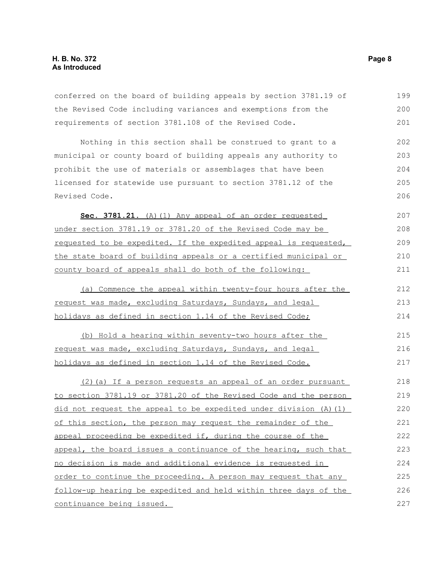#### **H. B. No. 372 Page 8 As Introduced**

continuance being issued.

conferred on the board of building appeals by section 3781.19 of the Revised Code including variances and exemptions from the requirements of section 3781.108 of the Revised Code. Nothing in this section shall be construed to grant to a municipal or county board of building appeals any authority to prohibit the use of materials or assemblages that have been licensed for statewide use pursuant to section 3781.12 of the Revised Code. Sec. 3781.21. (A)(1) Any appeal of an order requested under section 3781.19 or 3781.20 of the Revised Code may be requested to be expedited. If the expedited appeal is requested, the state board of building appeals or a certified municipal or county board of appeals shall do both of the following: (a) Commence the appeal within twenty-four hours after the request was made, excluding Saturdays, Sundays, and legal holidays as defined in section 1.14 of the Revised Code; (b) Hold a hearing within seventy-two hours after the request was made, excluding Saturdays, Sundays, and legal holidays as defined in section 1.14 of the Revised Code. (2)(a) If a person requests an appeal of an order pursuant to section 3781.19 or 3781.20 of the Revised Code and the person did not request the appeal to be expedited under division  $(A)$   $(1)$ of this section, the person may request the remainder of the appeal proceeding be expedited if, during the course of the appeal, the board issues a continuance of the hearing, such that no decision is made and additional evidence is requested in order to continue the proceeding. A person may request that any follow-up hearing be expedited and held within three days of the 199 200 201 202 203 204 205 206 207 208 209 210 211 212 213 214 215 216 217 218 219 220 221 222 223 224 225 226